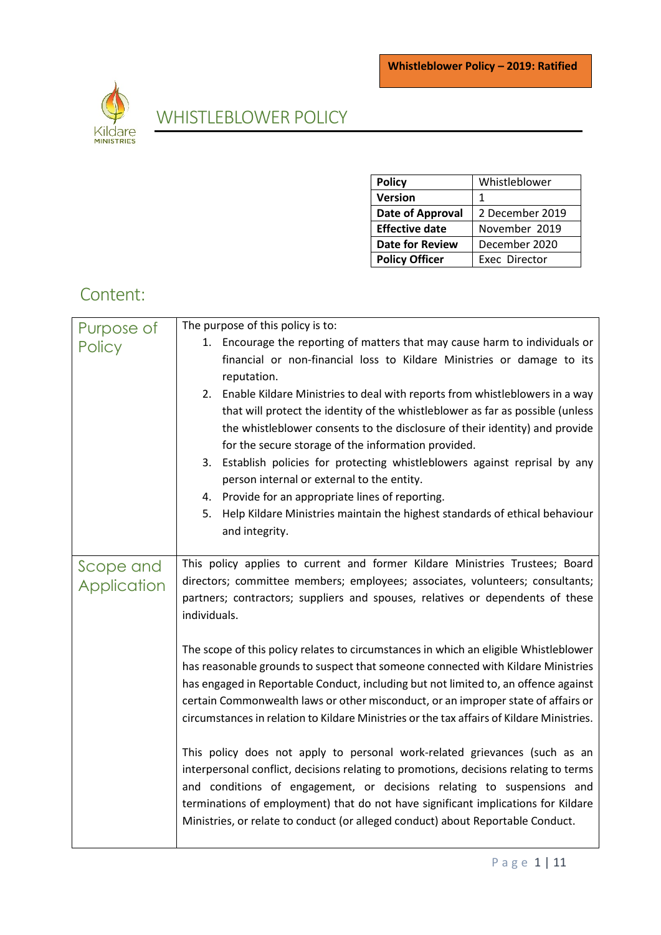

# WHISTLEBLOWER POLICY

| <b>Policy</b>           | Whistleblower   |
|-------------------------|-----------------|
| Version                 | 1               |
| <b>Date of Approval</b> | 2 December 2019 |
| <b>Effective date</b>   | November 2019   |
| <b>Date for Review</b>  | December 2020   |
| <b>Policy Officer</b>   | Exec Director   |

# Content:

| Purpose of    | The purpose of this policy is to:                                                         |
|---------------|-------------------------------------------------------------------------------------------|
| <b>Policy</b> | 1. Encourage the reporting of matters that may cause harm to individuals or               |
|               | financial or non-financial loss to Kildare Ministries or damage to its                    |
|               | reputation.                                                                               |
|               | 2. Enable Kildare Ministries to deal with reports from whistleblowers in a way            |
|               | that will protect the identity of the whistleblower as far as possible (unless            |
|               | the whistleblower consents to the disclosure of their identity) and provide               |
|               | for the secure storage of the information provided.                                       |
|               | 3. Establish policies for protecting whistleblowers against reprisal by any               |
|               | person internal or external to the entity.                                                |
|               | 4. Provide for an appropriate lines of reporting.                                         |
|               | 5.<br>Help Kildare Ministries maintain the highest standards of ethical behaviour         |
|               | and integrity.                                                                            |
|               |                                                                                           |
| Scope and     | This policy applies to current and former Kildare Ministries Trustees; Board              |
| Application   | directors; committee members; employees; associates, volunteers; consultants;             |
|               | partners; contractors; suppliers and spouses, relatives or dependents of these            |
|               | individuals.                                                                              |
|               |                                                                                           |
|               | The scope of this policy relates to circumstances in which an eligible Whistleblower      |
|               | has reasonable grounds to suspect that someone connected with Kildare Ministries          |
|               | has engaged in Reportable Conduct, including but not limited to, an offence against       |
|               | certain Commonwealth laws or other misconduct, or an improper state of affairs or         |
|               | circumstances in relation to Kildare Ministries or the tax affairs of Kildare Ministries. |
|               |                                                                                           |
|               | This policy does not apply to personal work-related grievances (such as an                |
|               | interpersonal conflict, decisions relating to promotions, decisions relating to terms     |
|               | and conditions of engagement, or decisions relating to suspensions and                    |
|               | terminations of employment) that do not have significant implications for Kildare         |
|               | Ministries, or relate to conduct (or alleged conduct) about Reportable Conduct.           |
|               |                                                                                           |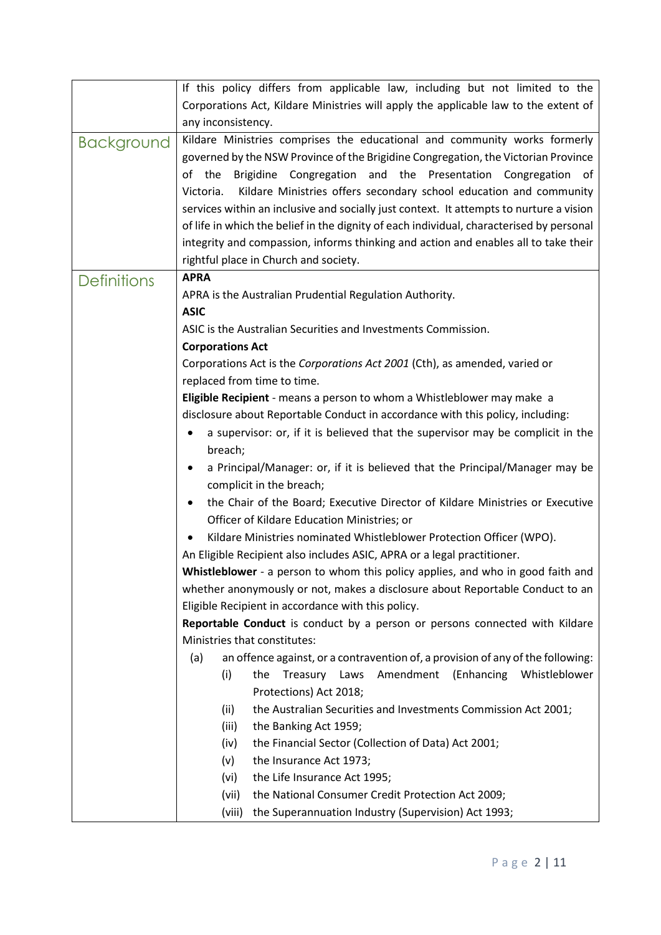|                    | If this policy differs from applicable law, including but not limited to the                                                                  |
|--------------------|-----------------------------------------------------------------------------------------------------------------------------------------------|
|                    | Corporations Act, Kildare Ministries will apply the applicable law to the extent of                                                           |
|                    | any inconsistency.                                                                                                                            |
| <b>Background</b>  | Kildare Ministries comprises the educational and community works formerly                                                                     |
|                    | governed by the NSW Province of the Brigidine Congregation, the Victorian Province                                                            |
|                    | of the Brigidine Congregation and the Presentation Congregation of                                                                            |
|                    | Victoria.<br>Kildare Ministries offers secondary school education and community                                                               |
|                    | services within an inclusive and socially just context. It attempts to nurture a vision                                                       |
|                    | of life in which the belief in the dignity of each individual, characterised by personal                                                      |
|                    | integrity and compassion, informs thinking and action and enables all to take their                                                           |
|                    | rightful place in Church and society.                                                                                                         |
| <b>Definitions</b> | <b>APRA</b>                                                                                                                                   |
|                    | APRA is the Australian Prudential Regulation Authority.                                                                                       |
|                    | <b>ASIC</b>                                                                                                                                   |
|                    | ASIC is the Australian Securities and Investments Commission.                                                                                 |
|                    | <b>Corporations Act</b>                                                                                                                       |
|                    | Corporations Act is the Corporations Act 2001 (Cth), as amended, varied or                                                                    |
|                    | replaced from time to time.                                                                                                                   |
|                    | Eligible Recipient - means a person to whom a Whistleblower may make a                                                                        |
|                    | disclosure about Reportable Conduct in accordance with this policy, including:                                                                |
|                    | a supervisor: or, if it is believed that the supervisor may be complicit in the                                                               |
|                    | breach;                                                                                                                                       |
|                    | a Principal/Manager: or, if it is believed that the Principal/Manager may be<br>$\bullet$                                                     |
|                    | complicit in the breach;                                                                                                                      |
|                    | the Chair of the Board; Executive Director of Kildare Ministries or Executive                                                                 |
|                    | Officer of Kildare Education Ministries; or                                                                                                   |
|                    | Kildare Ministries nominated Whistleblower Protection Officer (WPO).                                                                          |
|                    | An Eligible Recipient also includes ASIC, APRA or a legal practitioner.                                                                       |
|                    | Whistleblower - a person to whom this policy applies, and who in good faith and                                                               |
|                    | whether anonymously or not, makes a disclosure about Reportable Conduct to an                                                                 |
|                    | Eligible Recipient in accordance with this policy.                                                                                            |
|                    | Reportable Conduct is conduct by a person or persons connected with Kildare                                                                   |
|                    | Ministries that constitutes:                                                                                                                  |
|                    | an offence against, or a contravention of, a provision of any of the following:<br>(a)<br>Amendment (Enhancing Whistleblower<br>Treasury Laws |
|                    | (i)<br>the<br>Protections) Act 2018;                                                                                                          |
|                    | the Australian Securities and Investments Commission Act 2001;<br>(ii)                                                                        |
|                    | the Banking Act 1959;<br>(iii)                                                                                                                |
|                    | the Financial Sector (Collection of Data) Act 2001;<br>(iv)                                                                                   |
|                    | the Insurance Act 1973;<br>(v)                                                                                                                |
|                    | the Life Insurance Act 1995;<br>(vi)                                                                                                          |
|                    | the National Consumer Credit Protection Act 2009;<br>(vii)                                                                                    |
|                    | the Superannuation Industry (Supervision) Act 1993;<br>(viii)                                                                                 |
|                    |                                                                                                                                               |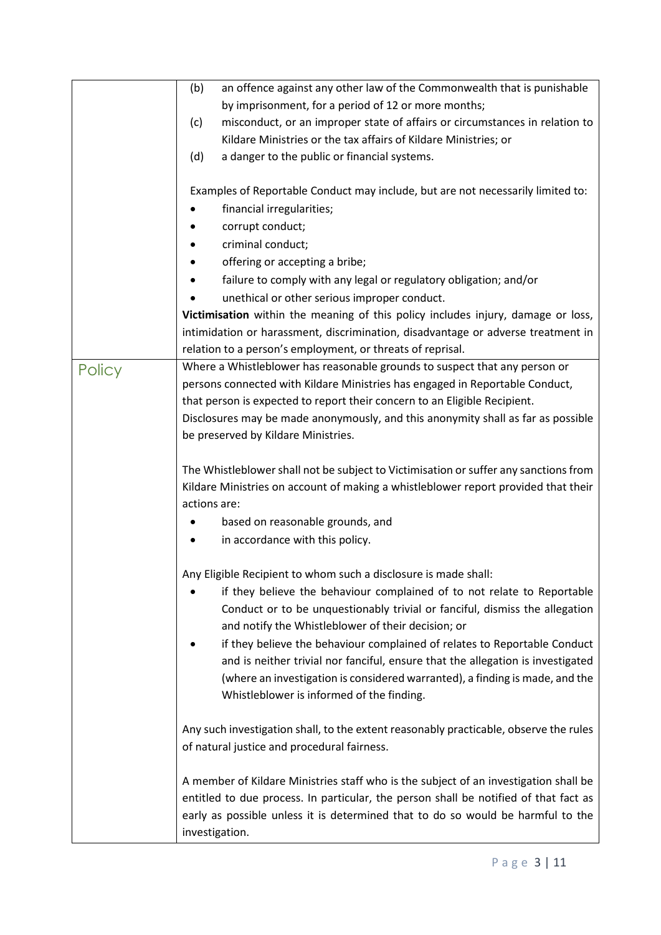|        | an offence against any other law of the Commonwealth that is punishable<br>(b)        |
|--------|---------------------------------------------------------------------------------------|
|        | by imprisonment, for a period of 12 or more months;                                   |
|        | misconduct, or an improper state of affairs or circumstances in relation to<br>(c)    |
|        | Kildare Ministries or the tax affairs of Kildare Ministries; or                       |
|        | (d)<br>a danger to the public or financial systems.                                   |
|        |                                                                                       |
|        | Examples of Reportable Conduct may include, but are not necessarily limited to:       |
|        | financial irregularities;                                                             |
|        | corrupt conduct;                                                                      |
|        | criminal conduct;                                                                     |
|        | offering or accepting a bribe;                                                        |
|        | failure to comply with any legal or regulatory obligation; and/or                     |
|        | unethical or other serious improper conduct.                                          |
|        | Victimisation within the meaning of this policy includes injury, damage or loss,      |
|        | intimidation or harassment, discrimination, disadvantage or adverse treatment in      |
|        | relation to a person's employment, or threats of reprisal.                            |
|        | Where a Whistleblower has reasonable grounds to suspect that any person or            |
| Policy | persons connected with Kildare Ministries has engaged in Reportable Conduct,          |
|        | that person is expected to report their concern to an Eligible Recipient.             |
|        | Disclosures may be made anonymously, and this anonymity shall as far as possible      |
|        | be preserved by Kildare Ministries.                                                   |
|        |                                                                                       |
|        | The Whistleblower shall not be subject to Victimisation or suffer any sanctions from  |
|        | Kildare Ministries on account of making a whistleblower report provided that their    |
|        | actions are:                                                                          |
|        | based on reasonable grounds, and                                                      |
|        |                                                                                       |
|        | in accordance with this policy.                                                       |
|        | Any Eligible Recipient to whom such a disclosure is made shall:                       |
|        | if they believe the behaviour complained of to not relate to Reportable               |
|        | Conduct or to be unquestionably trivial or fanciful, dismiss the allegation           |
|        | and notify the Whistleblower of their decision; or                                    |
|        | if they believe the behaviour complained of relates to Reportable Conduct             |
|        | and is neither trivial nor fanciful, ensure that the allegation is investigated       |
|        | (where an investigation is considered warranted), a finding is made, and the          |
|        | Whistleblower is informed of the finding.                                             |
|        |                                                                                       |
|        | Any such investigation shall, to the extent reasonably practicable, observe the rules |
|        | of natural justice and procedural fairness.                                           |
|        |                                                                                       |
|        | A member of Kildare Ministries staff who is the subject of an investigation shall be  |
|        | entitled to due process. In particular, the person shall be notified of that fact as  |
|        | early as possible unless it is determined that to do so would be harmful to the       |
|        | investigation.                                                                        |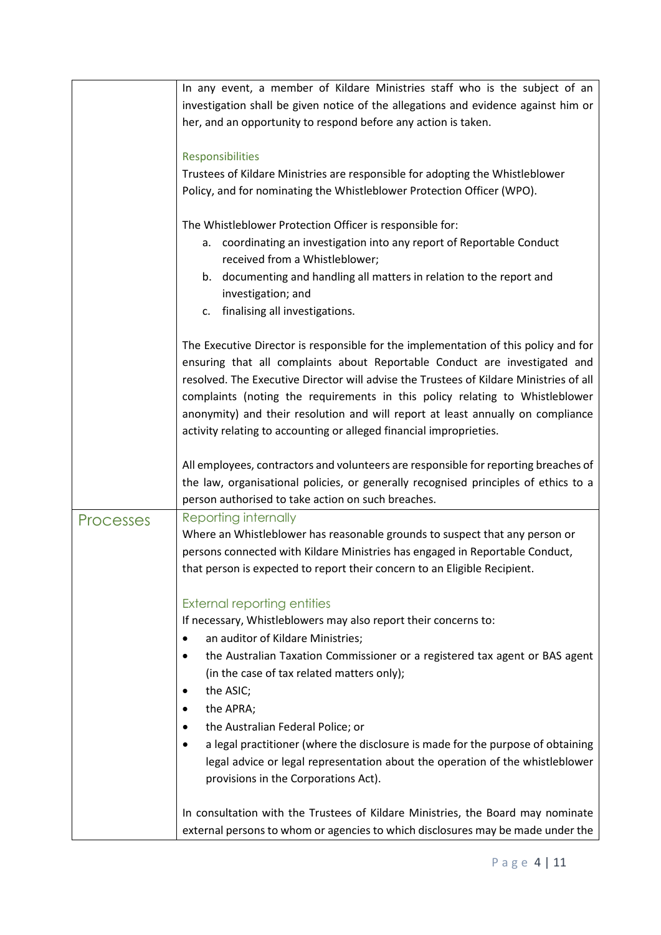|                  | In any event, a member of Kildare Ministries staff who is the subject of an<br>investigation shall be given notice of the allegations and evidence against him or<br>her, and an opportunity to respond before any action is taken.<br>Responsibilities<br>Trustees of Kildare Ministries are responsible for adopting the Whistleblower<br>Policy, and for nominating the Whistleblower Protection Officer (WPO).                                                                                                                                                   |
|------------------|----------------------------------------------------------------------------------------------------------------------------------------------------------------------------------------------------------------------------------------------------------------------------------------------------------------------------------------------------------------------------------------------------------------------------------------------------------------------------------------------------------------------------------------------------------------------|
|                  | The Whistleblower Protection Officer is responsible for:<br>coordinating an investigation into any report of Reportable Conduct<br>а.<br>received from a Whistleblower;<br>b. documenting and handling all matters in relation to the report and<br>investigation; and<br>c. finalising all investigations.                                                                                                                                                                                                                                                          |
|                  | The Executive Director is responsible for the implementation of this policy and for<br>ensuring that all complaints about Reportable Conduct are investigated and<br>resolved. The Executive Director will advise the Trustees of Kildare Ministries of all<br>complaints (noting the requirements in this policy relating to Whistleblower<br>anonymity) and their resolution and will report at least annually on compliance<br>activity relating to accounting or alleged financial improprieties.                                                                |
|                  | All employees, contractors and volunteers are responsible for reporting breaches of<br>the law, organisational policies, or generally recognised principles of ethics to a<br>person authorised to take action on such breaches.                                                                                                                                                                                                                                                                                                                                     |
| <b>Processes</b> | Reporting internally<br>Where an Whistleblower has reasonable grounds to suspect that any person or<br>persons connected with Kildare Ministries has engaged in Reportable Conduct,<br>that person is expected to report their concern to an Eligible Recipient.                                                                                                                                                                                                                                                                                                     |
|                  | <b>External reporting entities</b><br>If necessary, Whistleblowers may also report their concerns to:<br>an auditor of Kildare Ministries;<br>$\bullet$<br>the Australian Taxation Commissioner or a registered tax agent or BAS agent<br>٠<br>(in the case of tax related matters only);<br>the ASIC;<br>the APRA;<br>the Australian Federal Police; or<br>a legal practitioner (where the disclosure is made for the purpose of obtaining<br>legal advice or legal representation about the operation of the whistleblower<br>provisions in the Corporations Act). |
|                  | In consultation with the Trustees of Kildare Ministries, the Board may nominate<br>external persons to whom or agencies to which disclosures may be made under the                                                                                                                                                                                                                                                                                                                                                                                                   |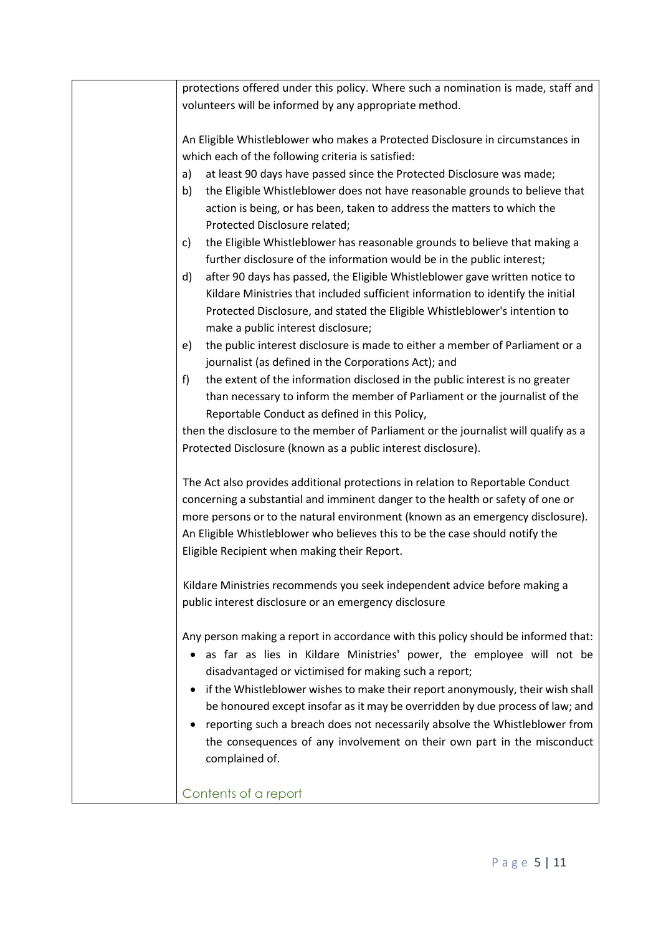| protections offered under this policy. Where such a nomination is made, staff and   |
|-------------------------------------------------------------------------------------|
| volunteers will be informed by any appropriate method.                              |
|                                                                                     |
| An Eligible Whistleblower who makes a Protected Disclosure in circumstances in      |
| which each of the following criteria is satisfied:                                  |
| at least 90 days have passed since the Protected Disclosure was made;<br>a)         |
| the Eligible Whistleblower does not have reasonable grounds to believe that<br>b)   |
| action is being, or has been, taken to address the matters to which the             |
| Protected Disclosure related;                                                       |
| the Eligible Whistleblower has reasonable grounds to believe that making a<br>c)    |
| further disclosure of the information would be in the public interest;              |
| after 90 days has passed, the Eligible Whistleblower gave written notice to<br>d)   |
| Kildare Ministries that included sufficient information to identify the initial     |
| Protected Disclosure, and stated the Eligible Whistleblower's intention to          |
| make a public interest disclosure;                                                  |
| the public interest disclosure is made to either a member of Parliament or a<br>e)  |
| journalist (as defined in the Corporations Act); and                                |
| the extent of the information disclosed in the public interest is no greater<br>f)  |
| than necessary to inform the member of Parliament or the journalist of the          |
| Reportable Conduct as defined in this Policy,                                       |
| then the disclosure to the member of Parliament or the journalist will qualify as a |
| Protected Disclosure (known as a public interest disclosure).                       |
|                                                                                     |
| The Act also provides additional protections in relation to Reportable Conduct      |
| concerning a substantial and imminent danger to the health or safety of one or      |
| more persons or to the natural environment (known as an emergency disclosure).      |
| An Eligible Whistleblower who believes this to be the case should notify the        |
| Eligible Recipient when making their Report.                                        |
|                                                                                     |
| Kildare Ministries recommends you seek independent advice before making a           |
| public interest disclosure or an emergency disclosure                               |
|                                                                                     |
| Any person making a report in accordance with this policy should be informed that:  |
| as far as lies in Kildare Ministries' power, the employee will not be               |
| disadvantaged or victimised for making such a report;                               |
| if the Whistleblower wishes to make their report anonymously, their wish shall      |
| be honoured except insofar as it may be overridden by due process of law; and       |
| reporting such a breach does not necessarily absolve the Whistleblower from         |
| the consequences of any involvement on their own part in the misconduct             |
| complained of.                                                                      |
|                                                                                     |
| Contents of a report                                                                |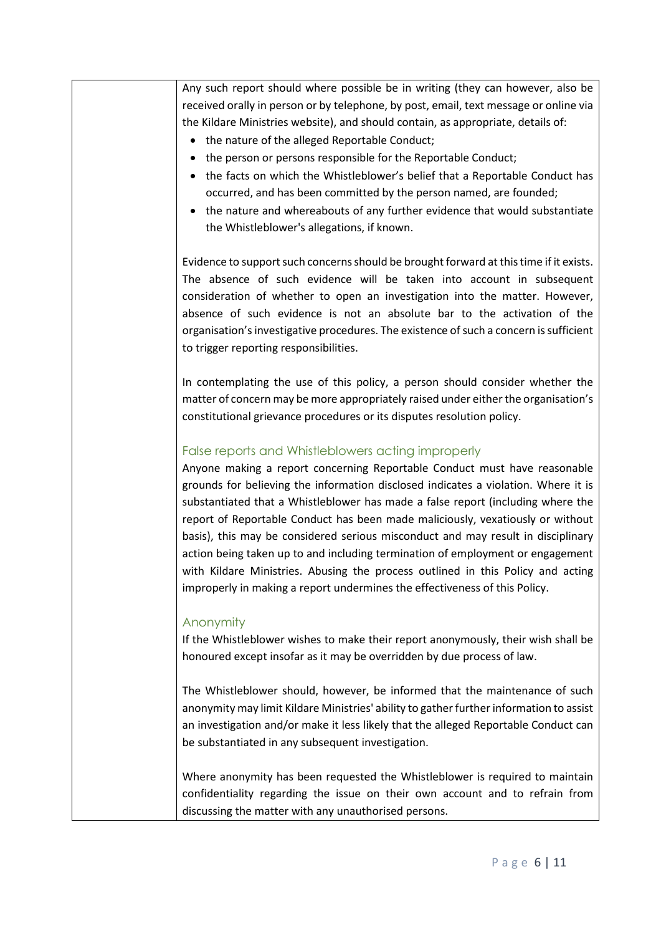Any such report should where possible be in writing (they can however, also be received orally in person or by telephone, by post, email, text message or online via the Kildare Ministries website), and should contain, as appropriate, details of: • the nature of the alleged Reportable Conduct; • the person or persons responsible for the Reportable Conduct; • the facts on which the Whistleblower's belief that a Reportable Conduct has occurred, and has been committed by the person named, are founded; • the nature and whereabouts of any further evidence that would substantiate the Whistleblower's allegations, if known. Evidence to support such concerns should be brought forward at this time if it exists. The absence of such evidence will be taken into account in subsequent consideration of whether to open an investigation into the matter. However, absence of such evidence is not an absolute bar to the activation of the organisation's investigative procedures. The existence of such a concern is sufficient to trigger reporting responsibilities. In contemplating the use of this policy, a person should consider whether the matter of concern may be more appropriately raised under either the organisation's constitutional grievance procedures or its disputes resolution policy. False reports and Whistleblowers acting improperly Anyone making a report concerning Reportable Conduct must have reasonable grounds for believing the information disclosed indicates a violation. Where it is substantiated that a Whistleblower has made a false report (including where the report of Reportable Conduct has been made maliciously, vexatiously or without basis), this may be considered serious misconduct and may result in disciplinary action being taken up to and including termination of employment or engagement with Kildare Ministries. Abusing the process outlined in this Policy and acting improperly in making a report undermines the effectiveness of this Policy. Anonymity If the Whistleblower wishes to make their report anonymously, their wish shall be honoured except insofar as it may be overridden by due process of law. The Whistleblower should, however, be informed that the maintenance of such anonymity may limit Kildare Ministries' ability to gather further information to assist an investigation and/or make it less likely that the alleged Reportable Conduct can be substantiated in any subsequent investigation. Where anonymity has been requested the Whistleblower is required to maintain confidentiality regarding the issue on their own account and to refrain from discussing the matter with any unauthorised persons.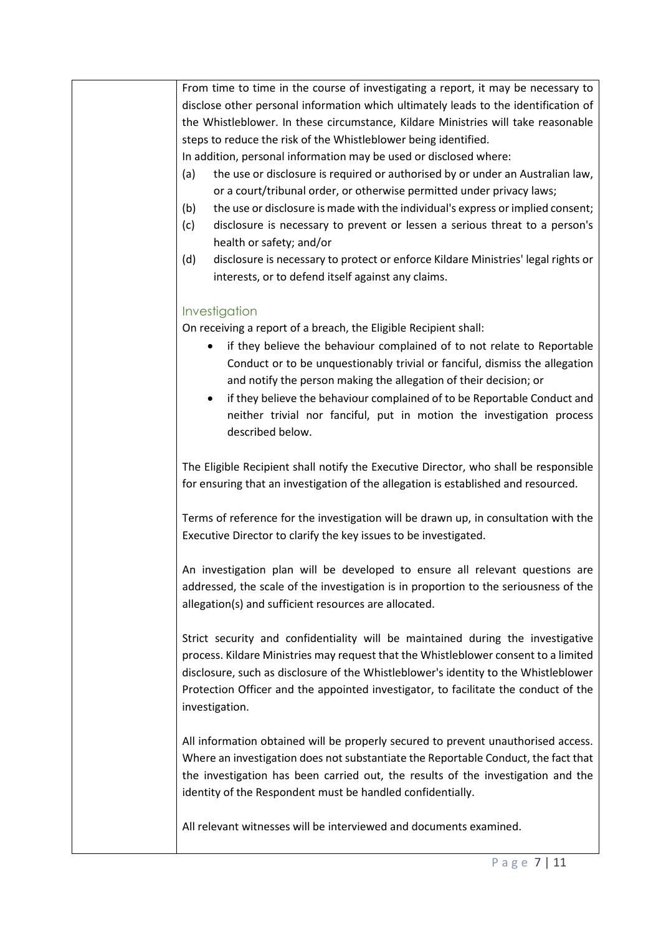| From time to time in the course of investigating a report, it may be necessary to        |
|------------------------------------------------------------------------------------------|
| disclose other personal information which ultimately leads to the identification of      |
| the Whistleblower. In these circumstance, Kildare Ministries will take reasonable        |
| steps to reduce the risk of the Whistleblower being identified.                          |
| In addition, personal information may be used or disclosed where:                        |
| the use or disclosure is required or authorised by or under an Australian law,<br>(a)    |
| or a court/tribunal order, or otherwise permitted under privacy laws;                    |
| (b)<br>the use or disclosure is made with the individual's express or implied consent;   |
| disclosure is necessary to prevent or lessen a serious threat to a person's<br>(c)       |
| health or safety; and/or                                                                 |
| (d)<br>disclosure is necessary to protect or enforce Kildare Ministries' legal rights or |
| interests, or to defend itself against any claims.                                       |
|                                                                                          |
| Investigation                                                                            |
| On receiving a report of a breach, the Eligible Recipient shall:                         |
| if they believe the behaviour complained of to not relate to Reportable<br>٠             |
| Conduct or to be unquestionably trivial or fanciful, dismiss the allegation              |
| and notify the person making the allegation of their decision; or                        |
| if they believe the behaviour complained of to be Reportable Conduct and                 |
| neither trivial nor fanciful, put in motion the investigation process                    |
| described below.                                                                         |
|                                                                                          |
| The Eligible Recipient shall notify the Executive Director, who shall be responsible     |
| for ensuring that an investigation of the allegation is established and resourced.       |
|                                                                                          |
| Terms of reference for the investigation will be drawn up, in consultation with the      |
| Executive Director to clarify the key issues to be investigated.                         |
|                                                                                          |
| An investigation plan will be developed to ensure all relevant questions are             |
| addressed, the scale of the investigation is in proportion to the seriousness of the     |
| allegation(s) and sufficient resources are allocated.                                    |
|                                                                                          |
| Strict security and confidentiality will be maintained during the investigative          |
| process. Kildare Ministries may request that the Whistleblower consent to a limited      |
| disclosure, such as disclosure of the Whistleblower's identity to the Whistleblower      |
| Protection Officer and the appointed investigator, to facilitate the conduct of the      |
| investigation.                                                                           |
|                                                                                          |
| All information obtained will be properly secured to prevent unauthorised access.        |
| Where an investigation does not substantiate the Reportable Conduct, the fact that       |
| the investigation has been carried out, the results of the investigation and the         |
| identity of the Respondent must be handled confidentially.                               |
|                                                                                          |
| All relevant witnesses will be interviewed and documents examined.                       |
|                                                                                          |
|                                                                                          |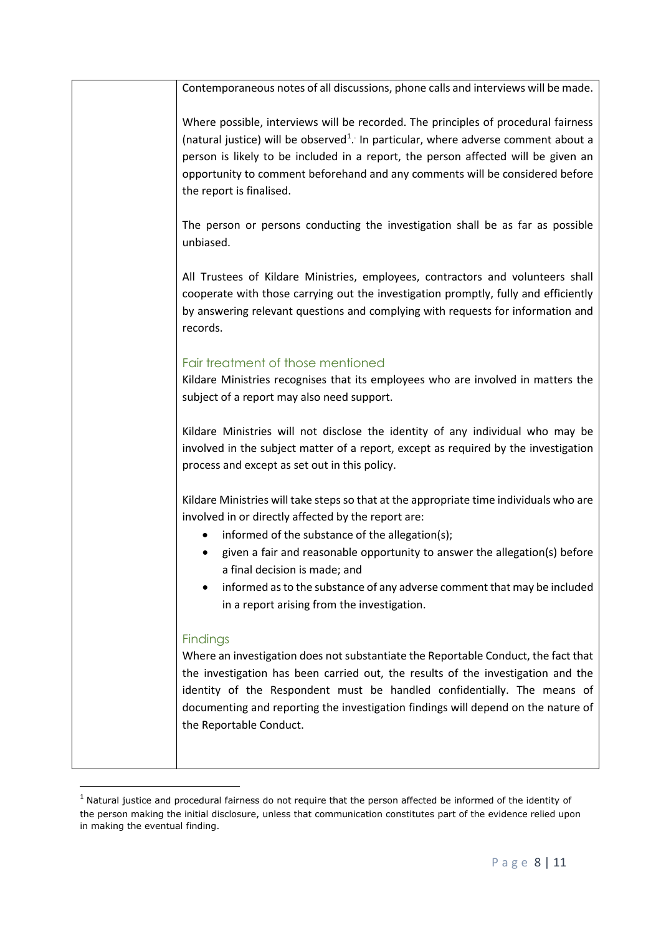| Contemporaneous notes of all discussions, phone calls and interviews will be made.                                                                                                                                                                                                                                                                                                    |
|---------------------------------------------------------------------------------------------------------------------------------------------------------------------------------------------------------------------------------------------------------------------------------------------------------------------------------------------------------------------------------------|
| Where possible, interviews will be recorded. The principles of procedural fairness<br>(natural justice) will be observed <sup>1</sup> . In particular, where adverse comment about a<br>person is likely to be included in a report, the person affected will be given an<br>opportunity to comment beforehand and any comments will be considered before<br>the report is finalised. |
| The person or persons conducting the investigation shall be as far as possible<br>unbiased.                                                                                                                                                                                                                                                                                           |
| All Trustees of Kildare Ministries, employees, contractors and volunteers shall<br>cooperate with those carrying out the investigation promptly, fully and efficiently<br>by answering relevant questions and complying with requests for information and<br>records.                                                                                                                 |
| Fair treatment of those mentioned                                                                                                                                                                                                                                                                                                                                                     |
| Kildare Ministries recognises that its employees who are involved in matters the<br>subject of a report may also need support.                                                                                                                                                                                                                                                        |
| Kildare Ministries will not disclose the identity of any individual who may be<br>involved in the subject matter of a report, except as required by the investigation<br>process and except as set out in this policy.                                                                                                                                                                |
| Kildare Ministries will take steps so that at the appropriate time individuals who are<br>involved in or directly affected by the report are:                                                                                                                                                                                                                                         |
| informed of the substance of the allegation(s);                                                                                                                                                                                                                                                                                                                                       |
| given a fair and reasonable opportunity to answer the allegation(s) before<br>a final decision is made; and                                                                                                                                                                                                                                                                           |
| informed as to the substance of any adverse comment that may be included<br>in a report arising from the investigation.                                                                                                                                                                                                                                                               |
| <b>Findings</b><br>Where an investigation does not substantiate the Reportable Conduct, the fact that<br>the investigation has been carried out, the results of the investigation and the<br>identity of the Respondent must be handled confidentially. The means of<br>documenting and reporting the investigation findings will depend on the nature of<br>the Reportable Conduct.  |

<span id="page-7-0"></span> $1$  Natural justice and procedural fairness do not require that the person affected be informed of the identity of the person making the initial disclosure, unless that communication constitutes part of the evidence relied upon in making the eventual finding.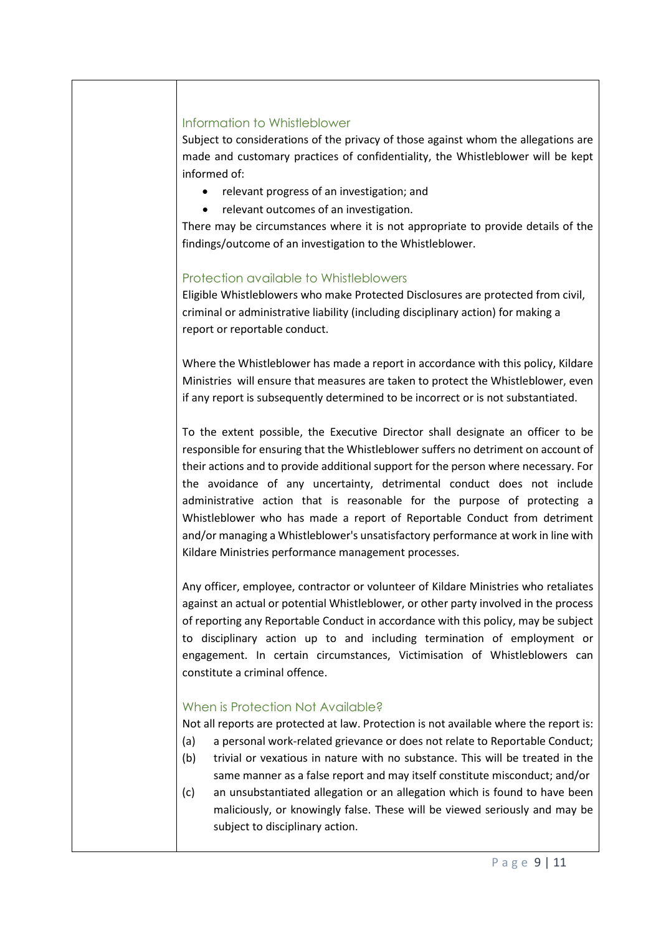#### Information to Whistleblower

Subject to considerations of the privacy of those against whom the allegations are made and customary practices of confidentiality, the Whistleblower will be kept informed of:

- relevant progress of an investigation; and
- relevant outcomes of an investigation.

There may be circumstances where it is not appropriate to provide details of the findings/outcome of an investigation to the Whistleblower.

## Protection available to Whistleblowers

Eligible Whistleblowers who make Protected Disclosures are protected from civil, criminal or administrative liability (including disciplinary action) for making a report or reportable conduct.

Where the Whistleblower has made a report in accordance with this policy, Kildare Ministries will ensure that measures are taken to protect the Whistleblower, even if any report is subsequently determined to be incorrect or is not substantiated.

To the extent possible, the Executive Director shall designate an officer to be responsible for ensuring that the Whistleblower suffers no detriment on account of their actions and to provide additional support for the person where necessary. For the avoidance of any uncertainty, detrimental conduct does not include administrative action that is reasonable for the purpose of protecting a Whistleblower who has made a report of Reportable Conduct from detriment and/or managing a Whistleblower's unsatisfactory performance at work in line with Kildare Ministries performance management processes.

Any officer, employee, contractor or volunteer of Kildare Ministries who retaliates against an actual or potential Whistleblower, or other party involved in the process of reporting any Reportable Conduct in accordance with this policy, may be subject to disciplinary action up to and including termination of employment or engagement. In certain circumstances, Victimisation of Whistleblowers can constitute a criminal offence.

## When is Protection Not Available?

Not all reports are protected at law. Protection is not available where the report is:

- (a) a personal work-related grievance or does not relate to Reportable Conduct;
- (b) trivial or vexatious in nature with no substance. This will be treated in the same manner as a false report and may itself constitute misconduct; and/or
- (c) an unsubstantiated allegation or an allegation which is found to have been maliciously, or knowingly false. These will be viewed seriously and may be subject to disciplinary action.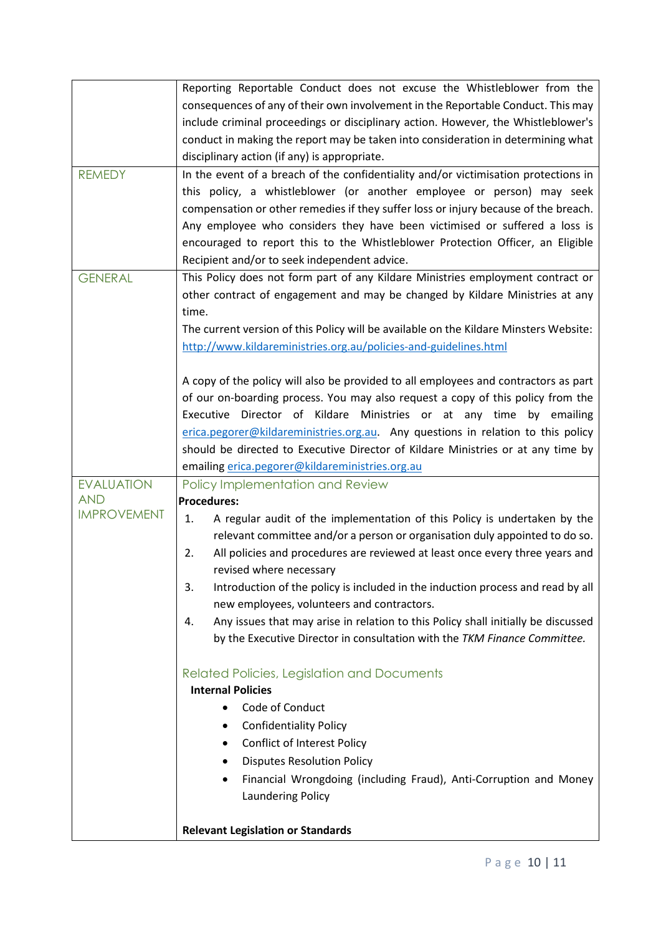|                    | Reporting Reportable Conduct does not excuse the Whistleblower from the                 |
|--------------------|-----------------------------------------------------------------------------------------|
|                    | consequences of any of their own involvement in the Reportable Conduct. This may        |
|                    | include criminal proceedings or disciplinary action. However, the Whistleblower's       |
|                    | conduct in making the report may be taken into consideration in determining what        |
|                    | disciplinary action (if any) is appropriate.                                            |
| <b>REMEDY</b>      | In the event of a breach of the confidentiality and/or victimisation protections in     |
|                    | this policy, a whistleblower (or another employee or person) may seek                   |
|                    | compensation or other remedies if they suffer loss or injury because of the breach.     |
|                    | Any employee who considers they have been victimised or suffered a loss is              |
|                    |                                                                                         |
|                    | encouraged to report this to the Whistleblower Protection Officer, an Eligible          |
|                    | Recipient and/or to seek independent advice.                                            |
| <b>GENERAL</b>     | This Policy does not form part of any Kildare Ministries employment contract or         |
|                    | other contract of engagement and may be changed by Kildare Ministries at any            |
|                    | time.                                                                                   |
|                    | The current version of this Policy will be available on the Kildare Minsters Website:   |
|                    | http://www.kildareministries.org.au/policies-and-guidelines.html                        |
|                    |                                                                                         |
|                    | A copy of the policy will also be provided to all employees and contractors as part     |
|                    | of our on-boarding process. You may also request a copy of this policy from the         |
|                    | Executive Director of Kildare Ministries or at any time by emailing                     |
|                    | erica.pegorer@kildareministries.org.au. Any questions in relation to this policy        |
|                    | should be directed to Executive Director of Kildare Ministries or at any time by        |
|                    | emailing erica.pegorer@kildareministries.org.au                                         |
| <b>EVALUATION</b>  | Policy Implementation and Review                                                        |
| <b>AND</b>         | <b>Procedures:</b>                                                                      |
| <b>IMPROVEMENT</b> | A regular audit of the implementation of this Policy is undertaken by the<br>1.         |
|                    | relevant committee and/or a person or organisation duly appointed to do so.             |
|                    | All policies and procedures are reviewed at least once every three years and<br>2.      |
|                    | revised where necessary                                                                 |
|                    | 3.<br>Introduction of the policy is included in the induction process and read by all   |
|                    | new employees, volunteers and contractors.                                              |
|                    | Any issues that may arise in relation to this Policy shall initially be discussed<br>4. |
|                    | by the Executive Director in consultation with the TKM Finance Committee.               |
|                    |                                                                                         |
|                    | <b>Related Policies, Legislation and Documents</b>                                      |
|                    | <b>Internal Policies</b>                                                                |
|                    | Code of Conduct                                                                         |
|                    | <b>Confidentiality Policy</b><br>٠                                                      |
|                    | <b>Conflict of Interest Policy</b>                                                      |
|                    | <b>Disputes Resolution Policy</b>                                                       |
|                    |                                                                                         |
|                    | Financial Wrongdoing (including Fraud), Anti-Corruption and Money                       |
|                    | <b>Laundering Policy</b>                                                                |
|                    |                                                                                         |
|                    | <b>Relevant Legislation or Standards</b>                                                |